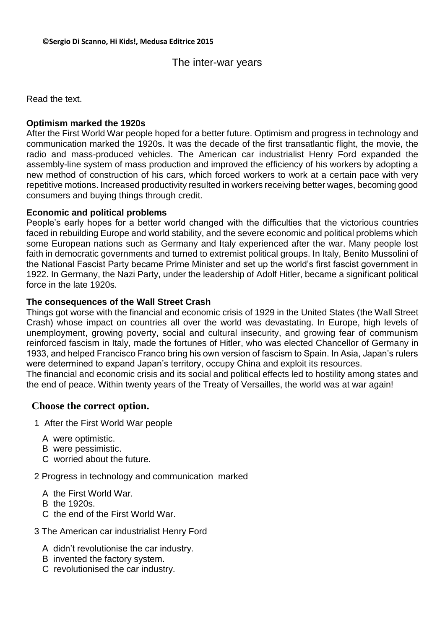# The inter-war years

Read the text.

### **Optimism marked the 1920s**

After the First World War people hoped for a better future. Optimism and progress in technology and communication marked the 1920s. It was the decade of the first transatlantic flight, the movie, the radio and mass-produced vehicles. The American car industrialist Henry Ford expanded the assembly-line system of mass production and improved the efficiency of his workers by adopting a new method of construction of his cars, which forced workers to work at a certain pace with very repetitive motions. Increased productivity resulted in workers receiving better wages, becoming good consumers and buying things through credit.

### **Economic and political problems**

People's early hopes for a better world changed with the difficulties that the victorious countries faced in rebuilding Europe and world stability, and the severe economic and political problems which some European nations such as Germany and Italy experienced after the war. Many people lost faith in democratic governments and turned to extremist political groups. In Italy, Benito Mussolini of the National Fascist Party became Prime Minister and set up the world's first fascist government in 1922. In Germany, the Nazi Party, under the leadership of Adolf Hitler, became a significant political force in the late 1920s.

### **The consequences of the Wall Street Crash**

Things got worse with the financial and economic crisis of 1929 in the United States (the Wall Street Crash) whose impact on countries all over the world was devastating. In Europe, high levels of unemployment, growing poverty, social and cultural insecurity, and growing fear of communism reinforced fascism in Italy, made the fortunes of Hitler, who was elected Chancellor of Germany in 1933, and helped Francisco Franco bring his own version of fascism to Spain. In Asia, Japan's rulers were determined to expand Japan's territory, occupy China and exploit its resources.

The financial and economic crisis and its social and political effects led to hostility among states and the end of peace. Within twenty years of the Treaty of Versailles, the world was at war again!

## **Choose the correct option.**

- 1 After the First World War people
	- A were optimistic.
	- B were pessimistic.
	- C worried about the future.

2 Progress in technology and communication marked

- A the First World War.
- B the 1920s.
- C the end of the First World War.
- 3 The American car industrialist Henry Ford
	- A didn't revolutionise the car industry.
	- B invented the factory system.
	- C revolutionised the car industry.